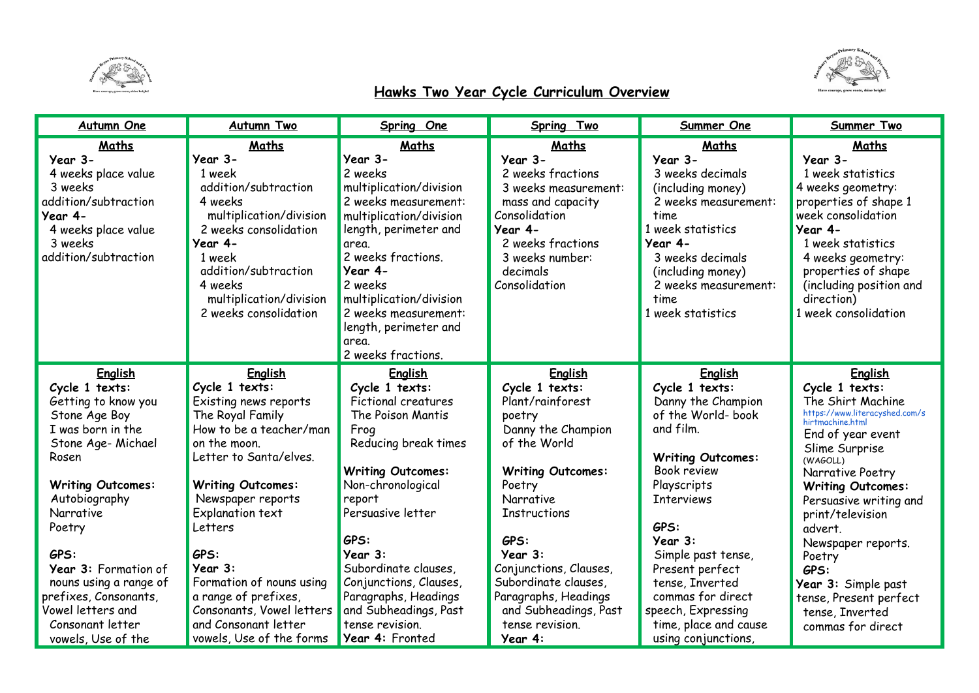



## **Hawks Two Year Cycle Curriculum Overview**

| <b>Autumn One</b>                                                                                                                                                                                                                                                                                                                           | <b>Autumn Two</b>                                                                                                                                                                                                                                                                                                                                                                          | Spring One                                                                                                                                                                                                                                                                                                                                               | Spring Two                                                                                                                                                                                                                                                                                                                         | Summer One                                                                                                                                                                                                                                                                                                                                         | Summer Two                                                                                                                                                                                                                                                                                                                                                                                               |
|---------------------------------------------------------------------------------------------------------------------------------------------------------------------------------------------------------------------------------------------------------------------------------------------------------------------------------------------|--------------------------------------------------------------------------------------------------------------------------------------------------------------------------------------------------------------------------------------------------------------------------------------------------------------------------------------------------------------------------------------------|----------------------------------------------------------------------------------------------------------------------------------------------------------------------------------------------------------------------------------------------------------------------------------------------------------------------------------------------------------|------------------------------------------------------------------------------------------------------------------------------------------------------------------------------------------------------------------------------------------------------------------------------------------------------------------------------------|----------------------------------------------------------------------------------------------------------------------------------------------------------------------------------------------------------------------------------------------------------------------------------------------------------------------------------------------------|----------------------------------------------------------------------------------------------------------------------------------------------------------------------------------------------------------------------------------------------------------------------------------------------------------------------------------------------------------------------------------------------------------|
| Maths<br>Year 3-<br>4 weeks place value<br>3 weeks<br>addition/subtraction<br>Year 4-<br>4 weeks place value<br>3 weeks<br>addition/subtraction                                                                                                                                                                                             | Maths<br>Year 3-<br>1 week<br>addition/subtraction<br>4 weeks<br>multiplication/division<br>2 weeks consolidation<br>Year 4-<br>1 week<br>addition/subtraction<br>4 weeks<br>multiplication/division<br>2 weeks consolidation                                                                                                                                                              | Maths<br>Year 3-<br>2 weeks<br>multiplication/division<br>2 weeks measurement:<br>multiplication/division<br>length, perimeter and<br>area.<br>2 weeks fractions.<br>Year 4-<br>2 weeks<br>multiplication/division<br>2 weeks measurement:<br>length, perimeter and<br>area.<br>2 weeks fractions.                                                       | Maths<br>Year 3-<br>2 weeks fractions<br>3 weeks measurement:<br>mass and capacity<br>Consolidation<br>Year 4-<br>2 weeks fractions<br>3 weeks number:<br>decimals<br>Consolidation                                                                                                                                                | Maths<br>Year 3-<br>3 weeks decimals<br>(including money)<br>2 weeks measurement:<br>time<br>1 week statistics<br>Year 4-<br>3 weeks decimals<br>(including money)<br>2 weeks measurement:<br>time<br>1 week statistics                                                                                                                            | Maths<br>Year 3-<br>1 week statistics<br>4 weeks geometry:<br>properties of shape 1<br>week consolidation<br>Year 4-<br>1 week statistics<br>4 weeks geometry:<br>properties of shape<br>(including position and<br>direction)<br>1 week consolidation                                                                                                                                                   |
| English<br>Cycle 1 texts:<br>Getting to know you<br>Stone Age Boy<br>I was born in the<br>Stone Age- Michael<br>Rosen<br><b>Writing Outcomes:</b><br>Autobiography<br>Narrative<br>Poetry<br>GPS:<br>Year 3: Formation of<br>nouns using a range of<br>prefixes, Consonants,<br>Vowel letters and<br>Consonant letter<br>vowels, Use of the | <b>English</b><br>Cycle 1 texts:<br>Existing news reports<br>The Royal Family<br>How to be a teacher/man<br>on the moon.<br>Letter to Santa/elves.<br><b>Writing Outcomes:</b><br>Newspaper reports<br>Explanation text<br>Letters<br>GPS:<br>Year 3:<br>Formation of nouns using<br>a range of prefixes,<br>Consonants, Vowel letters<br>and Consonant letter<br>vowels, Use of the forms | <b>English</b><br>Cycle 1 texts:<br>Fictional creatures<br>The Poison Mantis<br>Frog<br>Reducing break times<br><b>Writing Outcomes:</b><br>Non-chronological<br>report<br>Persuasive letter<br>GPS:<br>Year 3:<br>Subordinate clauses,<br>Conjunctions, Clauses,<br>Paragraphs, Headings<br>and Subheadings, Past<br>tense revision.<br>Year 4: Fronted | English<br>Cycle 1 texts:<br>Plant/rainforest<br>poetry<br>Danny the Champion<br>of the World<br><b>Writing Outcomes:</b><br>Poetry<br><b>Narrative</b><br><b>Instructions</b><br>GPS:<br>Year 3:<br>Conjunctions, Clauses,<br>Subordinate clauses,<br>Paragraphs, Headings<br>and Subheadings, Past<br>tense revision.<br>Year 4: | English<br>Cycle 1 texts:<br>Danny the Champion<br>of the World- book<br>and film.<br><b>Writing Outcomes:</b><br><b>Book review</b><br>Playscripts<br><b>Interviews</b><br>GPS:<br>Year 3:<br>Simple past tense,<br>Present perfect<br>tense, Inverted<br>commas for direct<br>speech, Expressing<br>time, place and cause<br>using conjunctions, | <b>English</b><br>Cycle 1 texts:<br>The Shirt Machine<br>https://www.literacyshed.com/s<br>hirtmachine.html<br>End of year event<br>Slime Surprise<br>(WAGOLL)<br>Narrative Poetry<br><b>Writing Outcomes:</b><br>Persuasive writing and<br>print/television<br>advert.<br>Newspaper reports.<br>Poetry<br>GPS:<br>Year 3: Simple past<br>tense, Present perfect<br>tense, Inverted<br>commas for direct |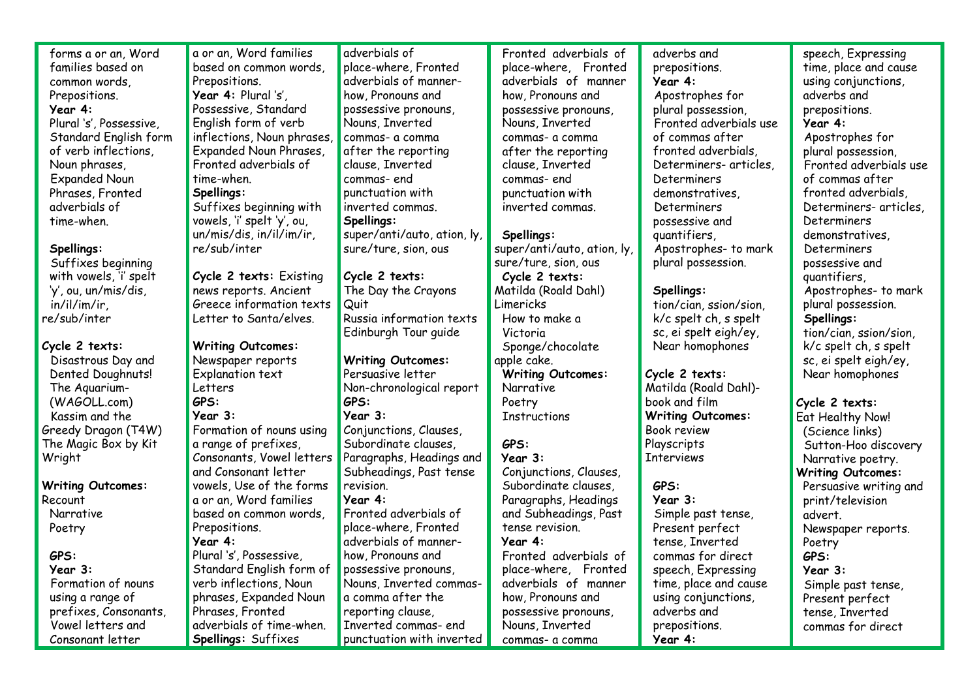| forms a or an, Word      | a or an, Word families     | adverbials of               | Fronted adverbials of       | adverbs and              | speech, Expressing       |
|--------------------------|----------------------------|-----------------------------|-----------------------------|--------------------------|--------------------------|
| families based on        | based on common words,     | place-where, Fronted        | place-where, Fronted        | prepositions.            | time, place and cause    |
| common words,            | Prepositions.              | adverbials of manner-       | adverbials of manner        | Year 4:                  | using conjunctions,      |
| Prepositions.            | Year 4: Plural 's',        | how, Pronouns and           | how, Pronouns and           | Apostrophes for          | adverbs and              |
| Year 4:                  | Possessive, Standard       | possessive pronouns,        | possessive pronouns,        | plural possession,       | prepositions.            |
| Plural 's', Possessive,  | English form of verb       | Nouns, Inverted             | Nouns, Inverted             | Fronted adverbials use   | Year 4:                  |
| Standard English form    | inflections, Noun phrases, | commas- a comma             | commas- a comma             | of commas after          | Apostrophes for          |
| of verb inflections,     | Expanded Noun Phrases,     | after the reporting         | after the reporting         | fronted adverbials,      | plural possession,       |
| Noun phrases,            | Fronted adverbials of      | clause, Inverted            | clause, Inverted            | Determiners- articles,   | Fronted adverbials use   |
| <b>Expanded Noun</b>     | time-when.                 | commas-end                  | commas-end                  | Determiners              | of commas after          |
| Phrases, Fronted         | Spellings:                 | punctuation with            | punctuation with            | demonstratives,          | fronted adverbials,      |
| adverbials of            | Suffixes beginning with    | inverted commas.            | inverted commas.            | Determiners              | Determiners- articles,   |
| time-when.               | vowels, 'i' spelt 'y', ou, | Spellings:                  |                             | possessive and           | Determiners              |
|                          | un/mis/dis, in/il/im/ir,   | super/anti/auto, ation, ly, | Spellings:                  | quantifiers,             | demonstratives,          |
| Spellings:               | re/sub/inter               | sure/ture, sion, ous        | super/anti/auto, ation, ly, | Apostrophes- to mark     | Determiners              |
| Suffixes beginning       |                            |                             | sure/ture, sion, ous        | plural possession.       | possessive and           |
| with vowels, 'i' spelt   | Cycle 2 texts: Existing    | Cycle 2 texts:              | Cycle 2 texts:              |                          | quantifiers,             |
| 'y', ou, un/mis/dis,     | news reports. Ancient      | The Day the Crayons         | Matilda (Roald Dahl)        | Spellings:               | Apostrophes- to mark     |
| in/il/im/ir              | Greece information texts   | Quit                        | Limericks                   | tion/cian, ssion/sion,   | plural possession.       |
| re/sub/inter             | Letter to Santa/elves.     | Russia information texts    | How to make a               | k/c spelt ch, s spelt    | Spellings:               |
|                          |                            | Edinburgh Tour guide        | Victoria                    | sc, ei spelt eigh/ey,    | tion/cian, ssion/sion,   |
| Cycle 2 texts:           | <b>Writing Outcomes:</b>   |                             | Sponge/chocolate            | Near homophones          | $k/c$ spelt ch, s spelt  |
| Disastrous Day and       | Newspaper reports          | <b>Writing Outcomes:</b>    | apple cake.                 |                          | sc, ei spelt eigh/ey,    |
| Dented Doughnuts!        | Explanation text           | Persuasive letter           | <b>Writing Outcomes:</b>    | Cycle 2 texts:           | Near homophones          |
| The Aquarium-            | Letters                    | Non-chronological report    | Narrative                   | Matilda (Roald Dahl)-    |                          |
| (WAGOLL.com)             | GPS:                       | GPS:                        | Poetry                      | book and film            | Cycle 2 texts:           |
| Kassim and the           | Year 3:                    | Year 3:                     | Instructions                | <b>Writing Outcomes:</b> | Eat Healthy Now!         |
| Greedy Dragon (T4W)      | Formation of nouns using   | Conjunctions, Clauses,      |                             | <b>Book review</b>       | (Science links)          |
| The Magic Box by Kit     | a range of prefixes,       | Subordinate clauses,        | GPS:                        | Playscripts              | Sutton-Hoo discovery     |
| Wright                   | Consonants, Vowel letters  | Paragraphs, Headings and    | Year 3:                     | <b>Interviews</b>        | Narrative poetry.        |
|                          | and Consonant letter       | Subheadings, Past tense     | Conjunctions, Clauses,      |                          | <b>Writing Outcomes:</b> |
| <b>Writing Outcomes:</b> | vowels, Use of the forms   | revision.                   | Subordinate clauses,        | GPS:                     | Persuasive writing and   |
| Recount                  | a or an, Word families     | Year 4:                     | Paragraphs, Headings        | Year 3:                  | print/television         |
| Narrative                | based on common words,     | Fronted adverbials of       | and Subheadings, Past       | Simple past tense,       | advert.                  |
| Poetry                   | Prepositions.              | place-where, Fronted        | tense revision.             | Present perfect          | Newspaper reports.       |
|                          | Year 4:                    | adverbials of manner-       | Year 4:                     | tense, Inverted          | Poetry                   |
| GPS:                     | Plural 's', Possessive,    | how, Pronouns and           | Fronted adverbials of       | commas for direct        | GPS:                     |
| Year 3:                  | Standard English form of   | possessive pronouns,        | place-where, Fronted        | speech, Expressing       | Year 3:                  |
| Formation of nouns       | verb inflections, Noun     | Nouns, Inverted commas-     | adverbials of manner        | time, place and cause    | Simple past tense,       |
| using a range of         | phrases, Expanded Noun     | a comma after the           | how, Pronouns and           | using conjunctions,      | Present perfect          |
| prefixes, Consonants,    | Phrases, Fronted           | reporting clause,           | possessive pronouns,        | adverbs and              | tense, Inverted          |
| Vowel letters and        | adverbials of time-when.   | Inverted commas- end        | Nouns, Inverted             | prepositions.            | commas for direct        |
| Consonant letter         | Spellings: Suffixes        | punctuation with inverted   |                             |                          |                          |
|                          |                            |                             | commas- a comma             | Year 4:                  |                          |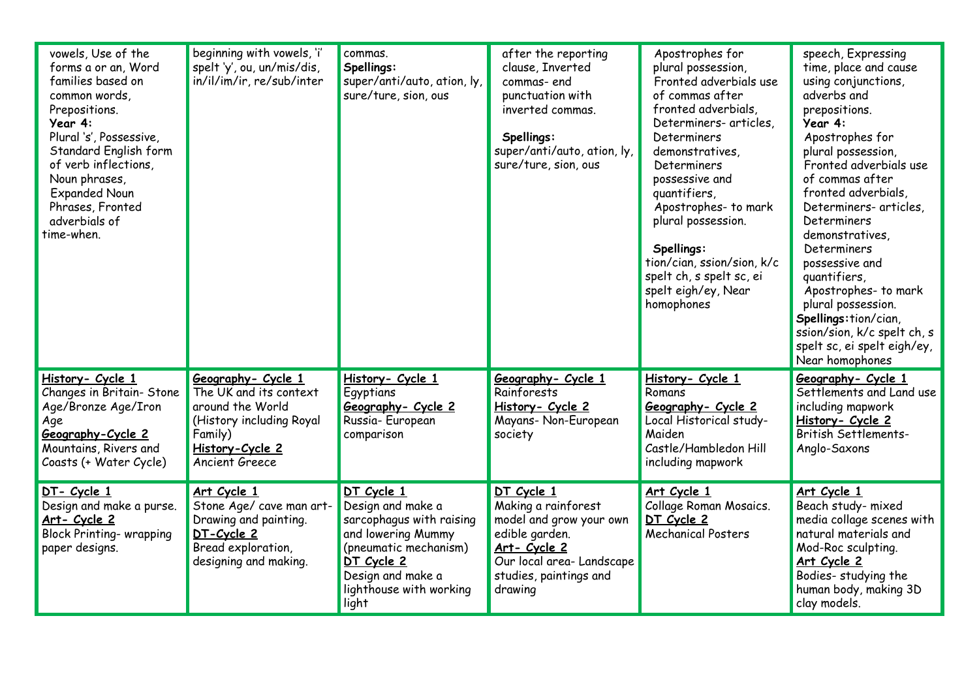| vowels, Use of the<br>forms a or an, Word<br>families based on<br>common words,<br>Prepositions.<br>Year 4:<br>Plural 's', Possessive,<br>Standard English form<br>of verb inflections,<br>Noun phrases,<br><b>Expanded Noun</b><br>Phrases, Fronted<br>adverbials of<br>time-when. | beginning with vowels, 'i'<br>spelt 'y', ou, un/mis/dis,<br>in/il/im/ir, re/sub/inter                                                        | commas.<br>Spellings:<br>super/anti/auto, ation, ly,<br>sure/ture, sion, ous                                                                                                      | after the reporting<br>clause, Inverted<br>commas-end<br>punctuation with<br>inverted commas.<br>Spellings:<br>super/anti/auto, ation, ly,<br>sure/ture, sion, ous    | Apostrophes for<br>plural possession,<br>Fronted adverbials use<br>of commas after<br>fronted adverbials,<br>Determiners- articles,<br>Determiners<br>demonstratives,<br>Determiners<br>possessive and<br>quantifiers,<br>Apostrophes- to mark<br>plural possession.<br>Spellings:<br>tion/cian, ssion/sion, k/c<br>spelt ch, s spelt sc, ei<br>spelt eigh/ey, Near<br>homophones | speech, Expressing<br>time, place and cause<br>using conjunctions,<br>adverbs and<br>prepositions.<br>Year 4:<br>Apostrophes for<br>plural possession,<br>Fronted adverbials use<br>of commas after<br>fronted adverbials,<br>Determiners- articles,<br>Determiners<br>demonstratives,<br>Determiners<br>possessive and<br>quantifiers,<br>Apostrophes- to mark<br>plural possession.<br>Spellings:tion/cian,<br>ssion/sion, k/c spelt ch, s<br>spelt sc, ei spelt eigh/ey,<br>Near homophones |
|-------------------------------------------------------------------------------------------------------------------------------------------------------------------------------------------------------------------------------------------------------------------------------------|----------------------------------------------------------------------------------------------------------------------------------------------|-----------------------------------------------------------------------------------------------------------------------------------------------------------------------------------|-----------------------------------------------------------------------------------------------------------------------------------------------------------------------|-----------------------------------------------------------------------------------------------------------------------------------------------------------------------------------------------------------------------------------------------------------------------------------------------------------------------------------------------------------------------------------|------------------------------------------------------------------------------------------------------------------------------------------------------------------------------------------------------------------------------------------------------------------------------------------------------------------------------------------------------------------------------------------------------------------------------------------------------------------------------------------------|
| History- Cycle 1<br>Changes in Britain- Stone<br>Age/Bronze Age/Iron<br>Age<br>Geography-Cycle 2<br>Mountains, Rivers and<br>Coasts (+ Water Cycle)                                                                                                                                 | Geography- Cycle 1<br>The UK and its context<br>around the World<br>(History including Royal<br>Family)<br>History-Cycle 2<br>Ancient Greece | History- Cycle 1<br>Egyptians<br>Geography- Cycle 2<br>Russia-European<br>comparison                                                                                              | Geography- Cycle 1<br>Rainforests<br>History- Cycle 2<br>Mayans- Non-European<br>society                                                                              | History- Cycle 1<br>Romans<br>Geography- Cycle 2<br>Local Historical study-<br>Maiden<br>Castle/Hambledon Hill<br>including mapwork                                                                                                                                                                                                                                               | Geography- Cycle 1<br>Settlements and Land use<br>including mapwork<br>History- Cycle 2<br><b>British Settlements-</b><br>Anglo-Saxons                                                                                                                                                                                                                                                                                                                                                         |
| DT- Cycle 1<br>Design and make a purse.<br>Art- Cycle 2<br><b>Block Printing- wrapping</b><br>paper designs.                                                                                                                                                                        | Art Cycle 1<br>Stone Age/ cave man art-<br>Drawing and painting.<br>DT-Cycle 2<br>Bread exploration,<br>designing and making.                | DT Cycle 1<br>Design and make a<br>sarcophagus with raising<br>and lowering Mummy<br>(pneumatic mechanism)<br>DT Cycle 2<br>Design and make a<br>lighthouse with working<br>light | DT Cycle 1<br>Making a rainforest<br>model and grow your own<br>edible garden.<br><u>Art-Cycle 2</u><br>Our local area-Landscape<br>studies, paintings and<br>drawing | Art Cycle 1<br>Collage Roman Mosaics.<br>DT Cycle 2<br><b>Mechanical Posters</b>                                                                                                                                                                                                                                                                                                  | Art Cycle 1<br>Beach study- mixed<br>media collage scenes with<br>natural materials and<br>Mod-Roc sculpting.<br>Art Cycle 2<br>Bodies- studying the<br>human body, making 3D<br>clay models.                                                                                                                                                                                                                                                                                                  |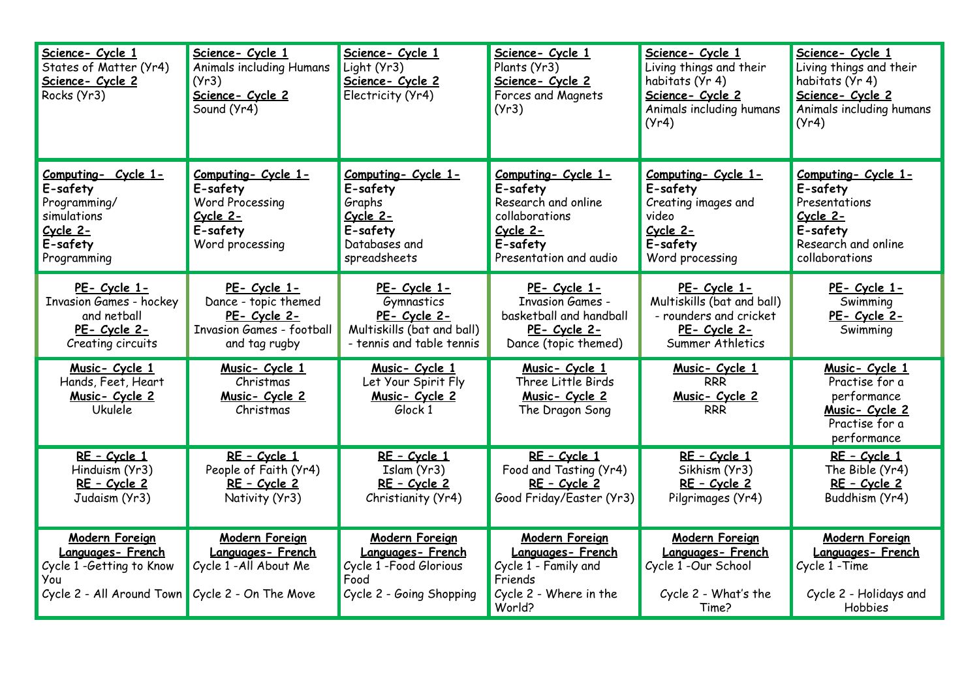| Science- Cycle 1<br>States of Matter (Yr4)<br>Science- Cycle 2<br>Rocks (Yr3)                                             | Science- Cycle 1<br>Animals including Humans<br>(Yr3)<br>Science- Cycle 2<br>Sound (Yr4)                  | Science- Cycle 1<br>Light (Yr3)<br>Science- Cycle 2<br>Electricity (Yr4)                                 | Science- Cycle 1<br>Plants (Yr3)<br>Science- Cycle 2<br>Forces and Magnets<br>(Yr3)                                        | Science- Cycle 1<br>Living things and their<br>habitats (Yr 4)<br>Science- Cycle 2<br>Animals including humans<br>(Yr4) | Science- Cycle 1<br>Living things and their<br>habitats (Yr 4)<br>Science- Cycle 2<br>Animals including humans<br>(Yr4) |
|---------------------------------------------------------------------------------------------------------------------------|-----------------------------------------------------------------------------------------------------------|----------------------------------------------------------------------------------------------------------|----------------------------------------------------------------------------------------------------------------------------|-------------------------------------------------------------------------------------------------------------------------|-------------------------------------------------------------------------------------------------------------------------|
| Computing- Cycle 1-<br>E-safety<br>Programming/<br>simulations<br>$Cycle$ 2-<br>E-safety<br>Programming                   | Computing- Cycle 1-<br>E-safety<br><b>Word Processing</b><br>Cycle 2-<br>E-safety<br>Word processing      | Computing- Cycle 1-<br>E-safety<br>Graphs<br>Cycle 2-<br>E-safety<br>Databases and<br>spreadsheets       | Computing- Cycle 1-<br>E-safety<br>Research and online<br>collaborations<br>Cycle 2-<br>E-safety<br>Presentation and audio | Computing- Cycle 1-<br>E-safety<br>Creating images and<br>video<br>Cycle 2-<br>E-safety<br>Word processing              | Computing- Cycle 1-<br>E-safety<br>Presentations<br>$Cycle$ $2-$<br>E-safety<br>Research and online<br>collaborations   |
| PE- Cycle 1-<br><b>Invasion Games - hockey</b><br>and netball<br>PE- Cycle 2-<br>Creating circuits                        | PE- Cycle 1-<br>Dance - topic themed<br>PE- Cycle 2-<br><b>Invasion Games - football</b><br>and tag rugby | PE- Cycle 1-<br>Gymnastics<br>PE- Cycle 2-<br>Multiskills (bat and ball)<br>- tennis and table tennis    | PE- Cycle 1-<br><b>Invasion Games -</b><br>basketball and handball<br>PE- Cycle 2-<br>Dance (topic themed)                 | PE- Cycle 1-<br>Multiskills (bat and ball)<br>- rounders and cricket<br><u>PE- Cycle 2-</u><br>Summer Athletics         | PE- Cycle 1-<br>Swimming<br>PE- Cycle 2-<br>Swimming                                                                    |
| Music- Cycle 1<br>Hands, Feet, Heart<br>Music- Cycle 2<br><b>Ukulele</b>                                                  | Music- Cycle 1<br>Christmas<br>Music- Cycle 2<br>Christmas                                                | Music- Cycle 1<br>Let Your Spirit Fly<br>Music- Cycle 2<br>Glock 1                                       | Music- Cycle 1<br>Three Little Birds<br>Music- Cycle 2<br>The Dragon Song                                                  | Music- Cycle 1<br><b>RRR</b><br><u>Music-Cycle 2</u><br><b>RRR</b>                                                      | Music- Cycle 1<br>Practise for a<br>performance<br>Music- Cycle 2<br>Practise for a<br>performance                      |
| RE - Cycle 1<br>Hinduism (Yr3)<br>RE - Cycle 2<br>Judaism (Yr3)                                                           | RE - Cycle 1<br>People of Faith (Yr4)<br>RE - Cycle 2<br>Nativity (Yr3)                                   | RE - Cycle 1<br>Islam (Yr3)<br>RE - Cycle 2<br>Christianity (Yr4)                                        | RE - Cycle 1<br>Food and Tasting (Yr4)<br>RE - Cycle 2<br>Good Friday/Easter (Yr3)                                         | RE - Cycle 1<br>Sikhism (Yr3)<br>RE - Cycle 2<br>Pilgrimages (Yr4)                                                      | RE - Cycle 1<br>The Bible (Yr4)<br>RE - Cycle 2<br>Buddhism (Yr4)                                                       |
| Modern Foreign<br>Languages- French<br>Cycle 1 -Getting to Know<br>You<br>Cycle 2 - All Around Town Cycle 2 - On The Move | Modern Foreign<br>Languages-French<br>Cycle 1-All About Me                                                | <b>Modern Foreign</b><br>Languages-French<br>Cycle 1 - Food Glorious<br>Food<br>Cycle 2 - Going Shopping | <b>Modern Foreign</b><br>Languages-French<br>Cycle 1 - Family and<br>Friends<br>Cycle 2 - Where in the<br>World?           | <b>Modern Foreign</b><br>Languages-French<br>Cycle 1 -Our School<br>Cycle 2 - What's the<br>Time?                       | Modern Foreign<br>Languages-French<br>Cycle 1 - Time<br>Cycle 2 - Holidays and<br>Hobbies                               |